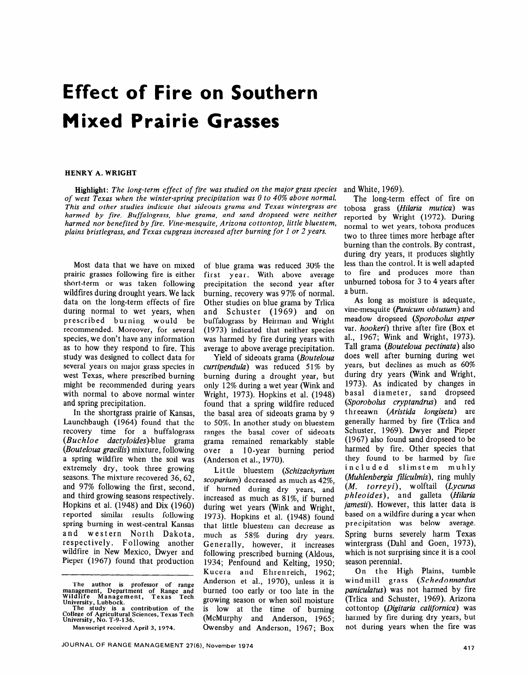# **Effect of Fire on Southern Mixed Prairie Grasses**

#### HENRY A. WRIGHT

Highlight: *The long-term effect of fire was studied on the major grass species of west Texas when the winter-spring precipitation was 0 to 40% above normal. This and other studies indicate that sideoats grama and Texas wintergrass are harmed by fire. Buffalograss, blue grama, and sand dropseed were neither harmed nor benefited by fire. Vine-mesquite, Arizona cottontop, little bluestem, plains bristlegrass, and Texas cupgrass increased after burning for 1 or 2 years.* 

Most data that we have on mixed prairie grasses following fire is either short-term or was taken following wildfires during drought years. We lack data on the long-term effects of fire during normal to wet years, when prescribed burning would be recommended. Moreover, for several species, we don't have any information as to how they respond to fire. This study was designed to collect data for several years on major grass species in west Texas, where prescribed burning might be recommended during years with normal to above normal winter and spring precipitation.

In the shortgrass prairie of Kansas, Launchbaugh (1964) found that the recovery time for a buffalograss *(Buchloe dactyloides)-blue* grama *(Bouteloua gracilis)* mixture, following a spring wildfire when the soil was extremely dry, took three growing seasons. The mixture recovered 36,62, and 97% following the first, second, and third growing seasons respectively. Hopkins et al. (1948) and Dix (1960) reported similar results following spring burning in west-central Kansas and western North Dakota, respectively. Following another wildfire in New Mexico, Dwyer and Pieper (1967) found that production of blue grama was reduced 30% the first year. With above average precipitation the second year after burning, recovery was 97% of normal. Other studies on blue grama by Trlica and Schuster (1969) and on buffalograss by Heirman and Wright (1973) indicated that neither species was harmed by fire during years with average to above average precipitation.

Yield of sideoats grama *(Bouteloua curtipendula*) was reduced 51% by burning during a drought year, but only 12% during a wet year (Wink and Wright, 1973). Hopkins et al. (1948) found that a spring wildfire reduced the basal area of sideoats grama by 9 to 50%. In another study on bluestem ranges the basal cover of sideoats grama remained remarkably stable over a 10 -year burning period (Anderson et al., 1970).

Little bluestem *(Schizachyrium scoparium)* decreased as much as 42%, if burned during dry years, and increased as much as  $81\%$ , if burned during wet years (Wink and Wright, 1973). Hopkins et al. (1948) found that little bluestem can decrease as much as 58% during dry years. Generally, however, it increases following prescribed burning (Aldous, 1934; Penfound and Kelting, 1950; Kucera and Ehrenreich, 1962; Anderson et al., 1970), unless it is burned too early or too late in the growing season or when soil moisture is low at the time of burning (McMurphy and Anderson, 1965; Owensby and Anderson, 1967; Box

and White, 1969).

The long-term effect of fire on tobosa grass *(Hilaria mutica)* was reported by Wright (1972). During normal to wet years, tobosa produces two to three times more herbage after burning than the controls. By contrast, during dry years, it produces slightly less than the control. It is well adapted to fire and produces more than unburned tobosa for 3 to 4 years after a burn.

As long as moisture is adequate, vine-mesquite *(Panicum ob tusum)* and meadow dropseed *(Sporobolus asper*  var. *hookeri)* thrive after fire (Box et al., 1967; Wink and Wright, 1973). Tall grama *(Bouteloua pectinata)* also does well after burning during wet years, but declines as much as 60% during dry years (Wink and Wright, 1973). As indicated by changes in basal diameter, sand dropseed *(Sporo bolus cryp tandrus)* and red t hr eeawn *(Aristida longiseta)* are generally harmed by fire (Trlica and Schuster, 1969). Dwyer and Pieper (1967) also found sand dropseed to be harmed by fire. Other species that they found to be harmed by fire included slimstem muhly *(Muhlenbergia filiculmis),* ring muhly *(M. torreyi), w* olftail *(Lycurus phleoides*), and galleta *(Hilaria*) *jamesii*). However, this latter data is based on a wildfire during a year when precipitation was below average. Spring burns severely harm Texas wintergrass (Dahl and Goen, 1973), which is not surprising since it is a cool season perennial.

On the High Plains, tumble windmill grass *(Schedonnardus paniculatus*) was not harmed by fire (Trlica and Schuster, 1969). Arizona cottontop *(Digitaria califomica)* was harmed by fire during dry years, but not during years when the fire was

The author is professor of range<br> **management, Department of Range and**<br>
Wildlife Management, Texas Tech<br>
University, Lubbock.

I he study is a contribution of the<br>College of Agricultural Sciences, Texas Tech **Manuscript received April 3, 1974.**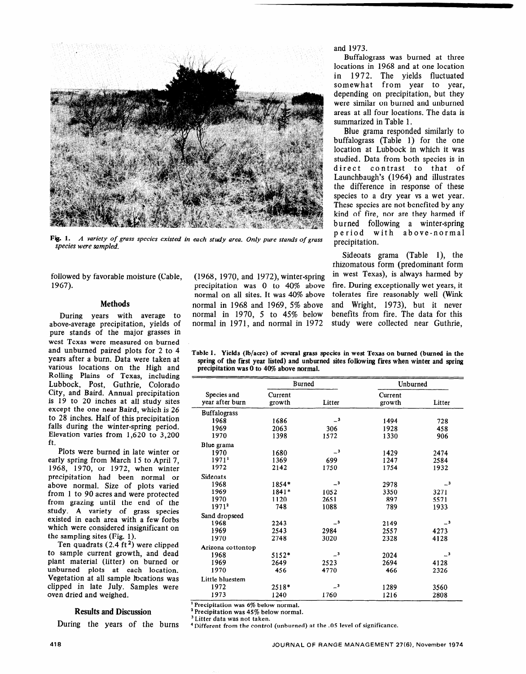

**Fig. 1.** *A variety of grass species existed in each study area. Only pure stands of grass species were sampled.* 

followed by favorable moisture (Cable, 1967).

#### **Methods**

During years with average to above-average precipitation, yields of pure stands of the major grasses in west Texas were measured on burned and unburned paired plots for **2** to **4**  years after a burn. Data were taken at various locations on the High and Rolling Plains of Texas, including Lubbock, Post, Guthrie, Colorado City, and Baird. Annual precipitation is 19 to 20 inches at all study sites except the one near Baird, which is 26 to 28 inches. Half of this precipitation falls during the winter-spring period. Elevation varies from 1,620 to 3,200 ft.

Plots were burned in late winter or early spring from March 15 to April 7, 1968, 1970, or 1972, when winter precipitation had been normal or above normal. Size of plots varied from 1 to 90 acres and were protected from grazing until the end of the study. A variety of grass species existed in each area with a few forbs which were considered insignificant on the sampling sites (Fig. 1).

Ten quadrats  $(2.4 \text{ ft}^2)$  were clipped to sample current growth, and dead plant material (litter) on burned or unburned plots at each location. Vegetation at all sample lbcations was clipped in late July. Samples were oven dried and weighed.

## **Results and Discussion**

During the years of the burns

(1968, 1970, and 1972), winter-spring precipitation was 0 to 40% above normal on all sites. It was 40% above normal in 1968 and 1969, 5% above normal in 1970, 5 to 45% below normal in 1971, and normal in 1972

and 1973.

Buffalograss was burned at three locations in 1968 and at one location in 1972. The yields fluctuated somewhat from year to year, depending on precipitation, but they were similar on burned and unburned areas at all four locations. The data is summarized in Table 1.

Blue grama responded similarly to buffalograss (Table 1) for the one location at Lubbock in which it was studied. Data from both species is in direct contrast to that of Launchbaugh's (1964) and illustrates the difference in response of these species to a dry year vs a wet year. These species are not benefited by any kind of fire, nor are they harmed if burned following a winter-spring period with above-normal precipitation.

Sideoats grama (Table 1), the rhizomatous form (predominant form in west Texas), is always harmed by fire. During exceptionally wet years, it tolerates fire reasonably well (Wink and Wright, 1973), but it never benefits from fire. The data for this study were collected near Guthrie,

Table **1.** Yields (lb/acre) of several grass species in west Texas on burned (burned in the spring of the first year listed) and unburned sites following **fires when winter and spring precipitation was 0 to 40% above normal.** 

|                                                                                                        | <b>Burned</b> |                            | Unburned |                            |
|--------------------------------------------------------------------------------------------------------|---------------|----------------------------|----------|----------------------------|
| Species and                                                                                            | Current       |                            | Current  |                            |
| year after burn                                                                                        | growth        | Litter                     | growth   | Litter                     |
| <b>Buffalograss</b>                                                                                    |               |                            |          |                            |
| 1968                                                                                                   | 1686          | $\overline{\phantom{0}}^3$ | 1494     | 728                        |
| 1969                                                                                                   | 2063          | 306                        | 1928     | 458                        |
| 1970                                                                                                   | 1398          | 1572                       | 1330     | 906                        |
| Blue grama                                                                                             |               |                            |          |                            |
| 1970                                                                                                   | 1680          | $\overline{\phantom{0}}^3$ | 1429     | 2474                       |
| 1971 <sup>1</sup>                                                                                      | 1369          | 699                        | 1247     | 2584                       |
| 1972                                                                                                   | 2142          | 1750                       | 1754     | 1932                       |
| Sideoats                                                                                               |               |                            |          |                            |
| 1968                                                                                                   | 1854*         | $\overline{\phantom{0}}^3$ | 2978     | $\overline{\phantom{0}}^3$ |
| 1969                                                                                                   | 1841*         | 1052                       | 3350     | 3271                       |
| 1970                                                                                                   | 1120          | 2651                       | 897      | 5571                       |
| 1971 <sup>2</sup>                                                                                      | 748           | 1088                       | 789      | 1933                       |
| Sand dropseed                                                                                          |               |                            |          |                            |
| 1968                                                                                                   | 2243          | $\overline{\phantom{0}}$ 3 | 2149     | $\overline{\phantom{0}}^3$ |
| 1969                                                                                                   | 2543          | 2984                       | 2557     | 4273                       |
| 1970                                                                                                   | 2748          | 3020                       | 2328     | 4128                       |
| Arizona cottontop                                                                                      |               |                            |          |                            |
| 1968                                                                                                   | 5152*         | $\overline{\phantom{0}}^3$ | 2024     | $\overline{\phantom{0}}^3$ |
| 1969                                                                                                   | 2649          | 2523                       | 2694     | 4128                       |
| 1970                                                                                                   | 456           | 4770                       | 466      | 2326                       |
| Little bluestem                                                                                        |               |                            |          |                            |
| 1972                                                                                                   | 2518*         | $\overline{\phantom{0}}^3$ | 1289     | 3560                       |
| 1973                                                                                                   | 1240          | 1760                       | 1216     | 2808                       |
| $\epsilon$ <sup><math>\alpha</math></sup> $\epsilon$ $\epsilon$ $\epsilon$<br>Daniel Michael and Score | $\sim$ 1.     |                            |          |                            |

<sup>1</sup> Precipitation was 6% below normal

<sup>2</sup> Precipitation was 45% below norma

<sup>3</sup> Litter data was not taken.

**4Different from the control (unburned) at the .05** level of significance.